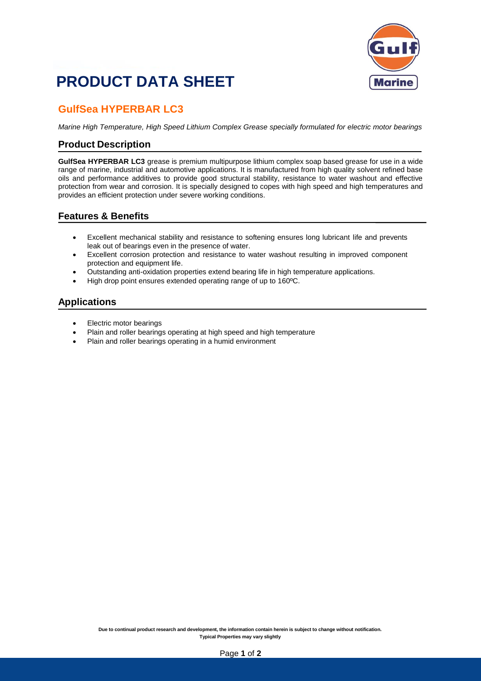# **PRODUCT DATA SHEET**



### **GulfSea HYPERBAR LC3**

*Marine High Temperature, High Speed Lithium Complex Grease specially formulated for electric motor bearings*

#### **Product Description**

**GulfSea HYPERBAR LC3** grease is premium multipurpose lithium complex soap based grease for use in a wide range of marine, industrial and automotive applications. It is manufactured from high quality solvent refined base oils and performance additives to provide good structural stability, resistance to water washout and effective protection from wear and corrosion. It is specially designed to copes with high speed and high temperatures and provides an efficient protection under severe working conditions.

#### **Features & Benefits**

- Excellent mechanical stability and resistance to softening ensures long lubricant life and prevents leak out of bearings even in the presence of water.
- Excellent corrosion protection and resistance to water washout resulting in improved component protection and equipment life.
- Outstanding anti-oxidation properties extend bearing life in high temperature applications.
- High drop point ensures extended operating range of up to 160ºC.

#### **Applications**

- Electric motor bearings
- Plain and roller bearings operating at high speed and high temperature
- Plain and roller bearings operating in a humid environment